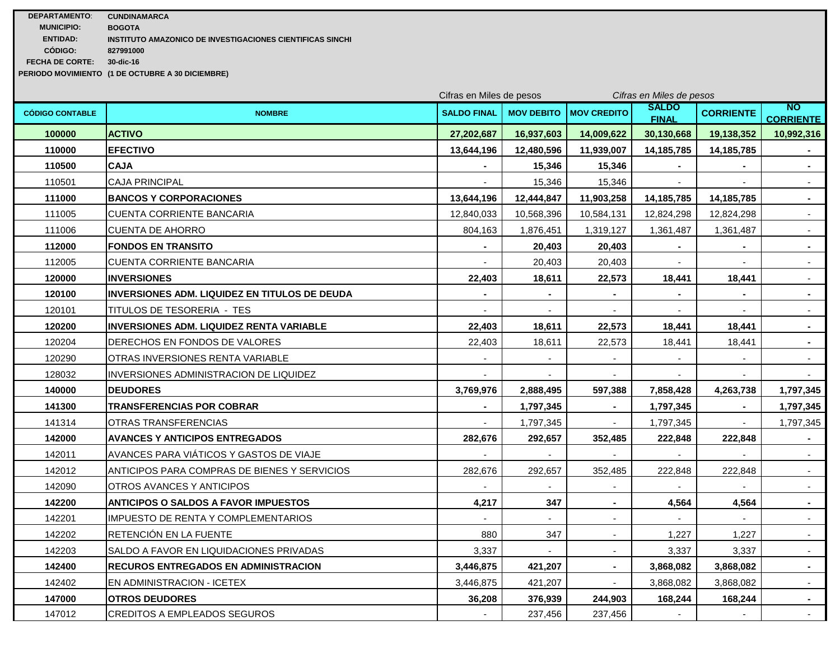| <b>DEPARTAMENTO:</b>   | <b>CUNDINAMARCA</b>                                       |
|------------------------|-----------------------------------------------------------|
| <b>MUNICIPIO:</b>      | <b>BOGOTA</b>                                             |
| <b>ENTIDAD:</b>        | INSTITUTO AMAZONICO DE INVESTIGACIONES CIENTIFICAS SINCHI |
| CÓDIGO:                | 827991000                                                 |
| <b>FECHA DE CORTE:</b> | 30-dic-16                                                 |
|                        |                                                           |

**PERIODO MOVIMIENTO (1 DE OCTUBRE A 30 DICIEMBRE)**

|                        |                                                      |                    | Cifras en Miles de pesos<br>Cifras en Miles de pesos |                          |                              |                  |                               |
|------------------------|------------------------------------------------------|--------------------|------------------------------------------------------|--------------------------|------------------------------|------------------|-------------------------------|
| <b>CÓDIGO CONTABLE</b> | <b>NOMBRE</b>                                        | <b>SALDO FINAL</b> | <b>MOV DEBITO</b>                                    | <b>MOV CREDITO</b>       | <b>SALDO</b><br><b>FINAL</b> | <b>CORRIENTE</b> | <b>NO</b><br><b>CORRIENTE</b> |
| 100000                 | <b>ACTIVO</b>                                        | 27,202,687         | 16,937,603                                           | 14,009,622               | 30,130,668                   | 19,138,352       | 10,992,316                    |
| 110000                 | <b>EFECTIVO</b>                                      | 13,644,196         | 12,480,596                                           | 11,939,007               | 14, 185, 785                 | 14,185,785       |                               |
| 110500                 | <b>CAJA</b>                                          | $\blacksquare$     | 15,346                                               | 15,346                   | $\sim$                       |                  | $\sim$                        |
| 110501                 | <b>CAJA PRINCIPAL</b>                                |                    | 15,346                                               | 15,346                   |                              |                  | $\sim$                        |
| 111000                 | <b>BANCOS Y CORPORACIONES</b>                        | 13,644,196         | 12,444,847                                           | 11,903,258               | 14, 185, 785                 | 14,185,785       | $\sim$                        |
| 111005                 | CUENTA CORRIENTE BANCARIA                            | 12,840,033         | 10,568,396                                           | 10,584,131               | 12,824,298                   | 12,824,298       | $\sim$                        |
| 111006                 | <b>CUENTA DE AHORRO</b>                              | 804,163            | 1,876,451                                            | 1,319,127                | 1,361,487                    | 1,361,487        | $\sim$                        |
| 112000                 | <b>FONDOS EN TRANSITO</b>                            |                    | 20,403                                               | 20,403                   |                              |                  | $\blacksquare$                |
| 112005                 | CUENTA CORRIENTE BANCARIA                            |                    | 20,403                                               | 20,403                   |                              |                  | $\sim$                        |
| 120000                 | <b>INVERSIONES</b>                                   | 22,403             | 18,611                                               | 22,573                   | 18,441                       | 18,441           | $\sim$                        |
| 120100                 | <b>INVERSIONES ADM. LIQUIDEZ EN TITULOS DE DEUDA</b> | $\blacksquare$     | $\blacksquare$                                       | $\blacksquare$           | $\blacksquare$               | $\bullet$        | $\sim$                        |
| 120101                 | TITULOS DE TESORERIA - TES                           |                    | $\overline{a}$                                       | $\blacksquare$           |                              |                  | $\blacksquare$                |
| 120200                 | <b>INVERSIONES ADM. LIQUIDEZ RENTA VARIABLE</b>      | 22.403             | 18,611                                               | 22,573                   | 18,441                       | 18.441           | $\sim$                        |
| 120204                 | DERECHOS EN FONDOS DE VALORES                        | 22,403             | 18,611                                               | 22,573                   | 18,441                       | 18,441           | $\blacksquare$                |
| 120290                 | OTRAS INVERSIONES RENTA VARIABLE                     | $\blacksquare$     | $\sim$                                               | $\blacksquare$           | $\sim$                       | $\mathbf{r}$     | $\sim$                        |
| 128032                 | INVERSIONES ADMINISTRACION DE LIQUIDEZ               |                    |                                                      |                          |                              |                  |                               |
| 140000                 | <b>DEUDORES</b>                                      | 3,769,976          | 2,888,495                                            | 597,388                  | 7,858,428                    | 4,263,738        | 1,797,345                     |
| 141300                 | TRANSFERENCIAS POR COBRAR                            | $\blacksquare$     | 1,797,345                                            |                          | 1,797,345                    |                  | 1,797,345                     |
| 141314                 | OTRAS TRANSFERENCIAS                                 | $\sim$             | 1,797,345                                            | $\sim$                   | 1,797,345                    | $\sim$           | 1,797,345                     |
| 142000                 | <b>AVANCES Y ANTICIPOS ENTREGADOS</b>                | 282,676            | 292,657                                              | 352,485                  | 222,848                      | 222,848          |                               |
| 142011                 | AVANCES PARA VIÁTICOS Y GASTOS DE VIAJE              |                    | $\sim$                                               |                          |                              |                  | $\sim$                        |
| 142012                 | ANTICIPOS PARA COMPRAS DE BIENES Y SERVICIOS         | 282,676            | 292,657                                              | 352,485                  | 222,848                      | 222,848          | $\sim$                        |
| 142090                 | OTROS AVANCES Y ANTICIPOS                            |                    | $\sim$                                               | $\overline{\phantom{a}}$ |                              |                  | $\sim$                        |
| 142200                 | <b>ANTICIPOS O SALDOS A FAVOR IMPUESTOS</b>          | 4,217              | 347                                                  | $\blacksquare$           | 4,564                        | 4,564            | $\sim$                        |
| 142201                 | <b>IMPUESTO DE RENTA Y COMPLEMENTARIOS</b>           | $\overline{a}$     | $\overline{a}$                                       | $\sim$                   | $\sim$                       | $\sim$           | $\sim$                        |
| 142202                 | RETENCIÓN EN LA FUENTE                               | 880                | 347                                                  | $\blacksquare$           | 1,227                        | 1,227            | $\sim$                        |
| 142203                 | SALDO A FAVOR EN LIQUIDACIONES PRIVADAS              | 3,337              | $\overline{\phantom{a}}$                             | $\overline{\phantom{a}}$ | 3,337                        | 3,337            | $\sim$                        |
| 142400                 | <b>RECUROS ENTREGADOS EN ADMINISTRACION</b>          | 3,446,875          | 421,207                                              | $\blacksquare$           | 3,868,082                    | 3,868,082        | $\blacksquare$                |
| 142402                 | EN ADMINISTRACION - ICETEX                           | 3,446,875          | 421,207                                              | $\sim$                   | 3,868,082                    | 3,868,082        | $\sim$                        |
| 147000                 | <b>OTROS DEUDORES</b>                                | 36,208             | 376,939                                              | 244,903                  | 168,244                      | 168,244          | $\sim$                        |
| 147012                 | CREDITOS A EMPLEADOS SEGUROS                         |                    | 237,456                                              | 237,456                  |                              | $\sim$           | $\sim$                        |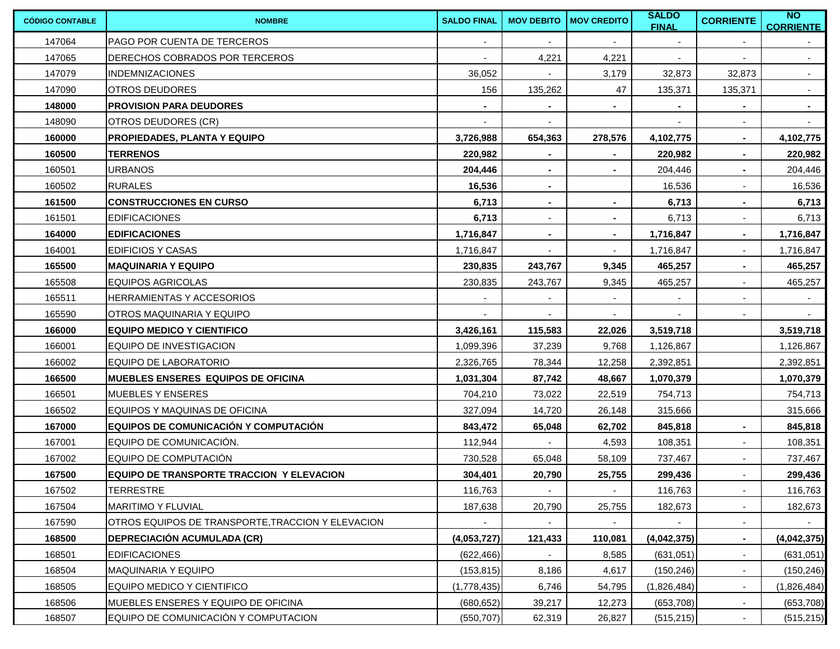| <b>CÓDIGO CONTABLE</b> | <b>NOMBRE</b>                                     | <b>SALDO FINAL</b> | <b>MOV DEBITO</b>        | <b>MOV CREDITO</b> | <b>SALDO</b><br><b>FINAL</b> | <b>CORRIENTE</b>         | N <sub>O</sub><br><b>CORRIENTE</b> |
|------------------------|---------------------------------------------------|--------------------|--------------------------|--------------------|------------------------------|--------------------------|------------------------------------|
| 147064                 | PAGO POR CUENTA DE TERCEROS                       | $\sim$             | $\sim$                   | $\sim$             | $\sim$                       | $\overline{\phantom{a}}$ |                                    |
| 147065                 | DERECHOS COBRADOS POR TERCEROS                    |                    | 4,221                    | 4,221              | $\blacksquare$               |                          | $\sim$                             |
| 147079                 | <b>INDEMNIZACIONES</b>                            | 36,052             |                          | 3,179              | 32,873                       | 32,873                   | $\sim$                             |
| 147090                 | <b>OTROS DEUDORES</b>                             | 156                | 135,262                  | 47                 | 135,371                      | 135,371                  | $\sim$                             |
| 148000                 | <b>PROVISION PARA DEUDORES</b>                    |                    |                          | $\blacksquare$     | ۰.                           | $\blacksquare$           | $\blacksquare$                     |
| 148090                 | OTROS DEUDORES (CR)                               |                    |                          |                    |                              | $\sim$                   |                                    |
| 160000                 | <b>PROPIEDADES, PLANTA Y EQUIPO</b>               | 3,726,988          | 654,363                  | 278,576            | 4,102,775                    | $\blacksquare$           | 4,102,775                          |
| 160500                 | <b>TERRENOS</b>                                   | 220,982            | $\blacksquare$           | $\blacksquare$     | 220,982                      | $\blacksquare$           | 220,982                            |
| 160501                 | <b>URBANOS</b>                                    | 204,446            | $\blacksquare$           | $\blacksquare$     | 204,446                      | $\sim$                   | 204,446                            |
| 160502                 | <b>RURALES</b>                                    | 16,536             | $\blacksquare$           |                    | 16,536                       | $\overline{\phantom{a}}$ | 16,536                             |
| 161500                 | <b>CONSTRUCCIONES EN CURSO</b>                    | 6,713              | $\blacksquare$           |                    | 6,713                        | ٠                        | 6,713                              |
| 161501                 | <b>EDIFICACIONES</b>                              | 6,713              | $\overline{\phantom{a}}$ | $\blacksquare$     | 6,713                        | $\blacksquare$           | 6,713                              |
| 164000                 | <b>EDIFICACIONES</b>                              | 1,716,847          |                          | $\blacksquare$     | 1,716,847                    |                          | 1,716,847                          |
| 164001                 | <b>EDIFICIOS Y CASAS</b>                          | 1,716,847          |                          |                    | 1,716,847                    |                          | 1,716,847                          |
| 165500                 | <b>MAQUINARIA Y EQUIPO</b>                        | 230,835            | 243,767                  | 9,345              | 465,257                      |                          | 465,257                            |
| 165508                 | EQUIPOS AGRICOLAS                                 | 230,835            | 243,767                  | 9,345              | 465,257                      |                          | 465,257                            |
| 165511                 | HERRAMIENTAS Y ACCESORIOS                         |                    |                          |                    |                              | $\blacksquare$           |                                    |
| 165590                 | <b>OTROS MAQUINARIA Y EQUIPO</b>                  |                    |                          |                    |                              |                          |                                    |
| 166000                 | <b>EQUIPO MEDICO Y CIENTIFICO</b>                 | 3,426,161          | 115,583                  | 22,026             | 3,519,718                    |                          | 3,519,718                          |
| 166001                 | EQUIPO DE INVESTIGACION                           | 1,099,396          | 37,239                   | 9,768              | 1,126,867                    |                          | 1,126,867                          |
| 166002                 | EQUIPO DE LABORATORIO                             | 2,326,765          | 78,344                   | 12,258             | 2,392,851                    |                          | 2,392,851                          |
| 166500                 | <b>IMUEBLES ENSERES  EQUIPOS DE OFICINA</b>       | 1,031,304          | 87,742                   | 48,667             | 1,070,379                    |                          | 1,070,379                          |
| 166501                 | <b>MUEBLES Y ENSERES</b>                          | 704,210            | 73,022                   | 22,519             | 754,713                      |                          | 754,713                            |
| 166502                 | EQUIPOS Y MAQUINAS DE OFICINA                     | 327,094            | 14,720                   | 26,148             | 315,666                      |                          | 315,666                            |
| 167000                 | EQUIPOS DE COMUNICACIÓN Y COMPUTACIÓN             | 843,472            | 65,048                   | 62,702             | 845,818                      | $\blacksquare$           | 845,818                            |
| 167001                 | EQUIPO DE COMUNICACIÓN.                           | 112,944            |                          | 4,593              | 108,351                      | $\sim$                   | 108,351                            |
| 167002                 | EQUIPO DE COMPUTACIÓN                             | 730,528            | 65,048                   | 58,109             | 737,467                      | $\sim$                   | 737,467                            |
| 167500                 | <b>EQUIPO DE TRANSPORTE TRACCION Y ELEVACION</b>  | 304,401            | 20,790                   | 25,755             | 299,436                      |                          | 299,436                            |
| 167502                 | <b>TERRESTRE</b>                                  | 116,763            | $\sim$                   | $\sim$             | 116,763                      | $\sim$                   | 116,763                            |
| 167504                 | MARITIMO Y FLUVIAL                                | 187,638            | 20,790                   | 25,755             | 182,673                      | $\blacksquare$           | 182,673                            |
| 167590                 | OTROS EQUIPOS DE TRANSPORTE, TRACCION Y ELEVACION |                    |                          |                    |                              | $\sim$                   |                                    |
| 168500                 | <b> DEPRECIACIÓN ACUMULADA (CR)</b>               | (4,053,727)        | 121,433                  | 110,081            | (4,042,375)                  | $\blacksquare$           | (4,042,375)                        |
| 168501                 | <b>EDIFICACIONES</b>                              | (622, 466)         |                          | 8,585              | (631, 051)                   | $\sim$                   | (631, 051)                         |
| 168504                 | <b>MAQUINARIA Y EQUIPO</b>                        | (153, 815)         | 8,186                    | 4,617              | (150, 246)                   | $\sim$                   | (150, 246)                         |
| 168505                 | EQUIPO MEDICO Y CIENTIFICO                        | (1,778,435)        | 6,746                    | 54,795             | (1,826,484)                  | $\sim$                   | (1,826,484)                        |
| 168506                 | MUEBLES ENSERES Y EQUIPO DE OFICINA               | (680, 652)         | 39,217                   | 12,273             | (653, 708)                   |                          | (653, 708)                         |
| 168507                 | EQUIPO DE COMUNICACIÓN Y COMPUTACION              | (550, 707)         | 62,319                   | 26,827             | (515, 215)                   |                          | (515, 215)                         |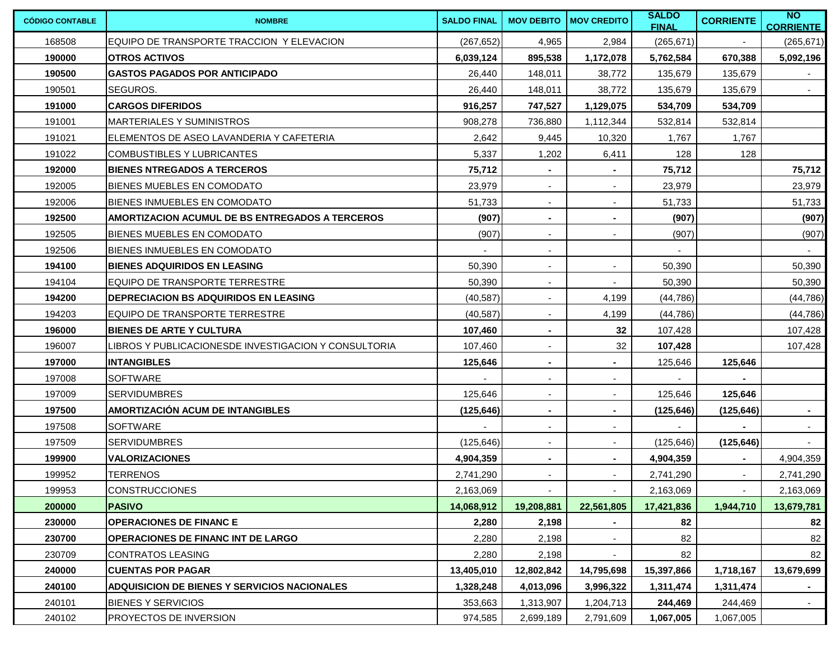| <b>CÓDIGO CONTABLE</b> | <b>NOMBRE</b>                                        | <b>SALDO FINAL</b> |                          | <b>MOV DEBITO IMOV CREDITO</b> | <b>SALDO</b><br><b>FINAL</b> | <b>CORRIENTE</b> | NO<br><b>CORRIENTE</b> |
|------------------------|------------------------------------------------------|--------------------|--------------------------|--------------------------------|------------------------------|------------------|------------------------|
| 168508                 | EQUIPO DE TRANSPORTE TRACCION Y ELEVACION            | (267, 652)         | 4,965                    | 2,984                          | (265, 671)                   |                  | (265, 671)             |
| 190000                 | <b>OTROS ACTIVOS</b>                                 | 6,039,124          | 895,538                  | 1,172,078                      | 5,762,584                    | 670,388          | 5,092,196              |
| 190500                 | <b>GASTOS PAGADOS POR ANTICIPADO</b>                 | 26,440             | 148,011                  | 38,772                         | 135,679                      | 135,679          |                        |
| 190501                 | SEGUROS.                                             | 26,440             | 148,011                  | 38,772                         | 135,679                      | 135,679          |                        |
| 191000                 | <b>CARGOS DIFERIDOS</b>                              | 916,257            | 747,527                  | 1,129,075                      | 534,709                      | 534,709          |                        |
| 191001                 | MARTERIALES Y SUMINISTROS                            | 908,278            | 736,880                  | 1,112,344                      | 532,814                      | 532,814          |                        |
| 191021                 | ELEMENTOS DE ASEO LAVANDERIA Y CAFETERIA             | 2,642              | 9,445                    | 10,320                         | 1,767                        | 1,767            |                        |
| 191022                 | <b>COMBUSTIBLES Y LUBRICANTES</b>                    | 5,337              | 1,202                    | 6,411                          | 128                          | 128              |                        |
| 192000                 | <b>BIENES NTREGADOS A TERCEROS</b>                   | 75,712             | $\sim$                   | $\blacksquare$                 | 75,712                       |                  | 75,712                 |
| 192005                 | BIENES MUEBLES EN COMODATO                           | 23,979             | $\sim$                   | $\sim$                         | 23,979                       |                  | 23,979                 |
| 192006                 | BIENES INMUEBLES EN COMODATO                         | 51,733             | $\sim$                   | $\sim$                         | 51,733                       |                  | 51,733                 |
| 192500                 | AMORTIZACION ACUMUL DE BS ENTREGADOS A TERCEROS      | (907)              | $\sim$                   | $\sim$                         | (907)                        |                  | (907)                  |
| 192505                 | BIENES MUEBLES EN COMODATO                           | (907)              | $\blacksquare$           | $\sim$                         | (907)                        |                  | (907)                  |
| 192506                 | BIENES INMUEBLES EN COMODATO                         |                    | $\overline{\phantom{a}}$ |                                | $\blacksquare$               |                  |                        |
| 194100                 | <b>BIENES ADQUIRIDOS EN LEASING</b>                  | 50,390             | $\blacksquare$           | $\sim$                         | 50,390                       |                  | 50,390                 |
| 194104                 | EQUIPO DE TRANSPORTE TERRESTRE                       | 50,390             | $\blacksquare$           | $\sim$                         | 50,390                       |                  | 50,390                 |
| 194200                 | <b>DEPRECIACION BS ADQUIRIDOS EN LEASING</b>         | (40, 587)          | $\blacksquare$           | 4,199                          | (44, 786)                    |                  | (44, 786)              |
| 194203                 | EQUIPO DE TRANSPORTE TERRESTRE                       | (40, 587)          | $\blacksquare$           | 4,199                          | (44, 786)                    |                  | (44, 786)              |
| 196000                 | <b>BIENES DE ARTE Y CULTURA</b>                      | 107,460            | $\blacksquare$           | 32                             | 107,428                      |                  | 107,428                |
| 196007                 | LIBROS Y PUBLICACIONESDE INVESTIGACION Y CONSULTORIA | 107,460            | $\blacksquare$           | 32                             | 107,428                      |                  | 107,428                |
| 197000                 | <b>INTANGIBLES</b>                                   | 125,646            | $\blacksquare$           |                                | 125,646                      | 125,646          |                        |
| 197008                 | <b>SOFTWARE</b>                                      |                    | $\blacksquare$           |                                |                              |                  |                        |
| 197009                 | <b>SERVIDUMBRES</b>                                  | 125,646            | $\sim$                   |                                | 125,646                      | 125,646          |                        |
| 197500                 | AMORTIZACIÓN ACUM DE INTANGIBLES                     | (125, 646)         | $\blacksquare$           |                                | (125, 646)                   | (125, 646)       | $\sim$                 |
| 197508                 | SOFTWARE                                             |                    | $\blacksquare$           |                                | $\sim$                       | $\blacksquare$   |                        |
| 197509                 | <b>SERVIDUMBRES</b>                                  | (125, 646)         | $\blacksquare$           |                                | (125, 646)                   | (125, 646)       |                        |
| 199900                 | <b>VALORIZACIONES</b>                                | 4,904,359          | $\sim$                   |                                | 4,904,359                    |                  | 4,904,359              |
| 199952                 | <b>TERRENOS</b>                                      | 2,741,290          | $\blacksquare$           |                                | 2,741,290                    | $\sim$           | 2,741,290              |
| 199953                 | <b>CONSTRUCCIONES</b>                                | 2,163,069          |                          |                                | 2,163,069                    |                  | 2,163,069              |
| 200000                 | <b>PASIVO</b>                                        | 14,068,912         | 19,208,881               | 22,561,805                     | 17,421,836                   | 1,944,710        | 13,679,781             |
| 230000                 | <b>OPERACIONES DE FINANC E</b>                       | 2,280              | 2,198                    |                                | 82                           |                  | 82                     |
| 230700                 | <b>OPERACIONES DE FINANC INT DE LARGO</b>            | 2,280              | 2,198                    | $\sim$                         | 82                           |                  | 82                     |
| 230709                 | <b>CONTRATOS LEASING</b>                             | 2,280              | 2,198                    | $\sim$                         | 82                           |                  | 82                     |
| 240000                 | <b>CUENTAS POR PAGAR</b>                             | 13,405,010         | 12,802,842               | 14,795,698                     | 15,397,866                   | 1,718,167        | 13,679,699             |
| 240100                 | ADQUISICION DE BIENES Y SERVICIOS NACIONALES         | 1,328,248          | 4,013,096                | 3,996,322                      | 1,311,474                    | 1,311,474        | $\sim$                 |
| 240101                 | <b>BIENES Y SERVICIOS</b>                            | 353,663            | 1,313,907                | 1,204,713                      | 244,469                      | 244,469          | $\sim$                 |
| 240102                 | PROYECTOS DE INVERSION                               | 974,585            | 2,699,189                | 2,791,609                      | 1,067,005                    | 1,067,005        |                        |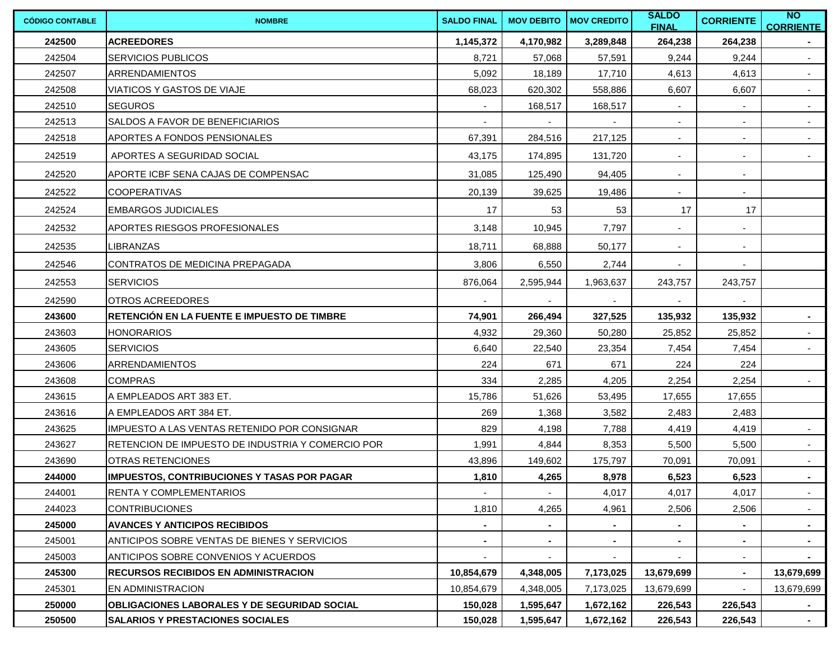| <b>CÓDIGO CONTABLE</b> | <b>NOMBRE</b>                                      | <b>SALDO FINAL</b> |           | <b>MOV DEBITO MOV CREDITO</b> | <b>SALDO</b><br><b>FINAL</b> | <b>CORRIENTE</b> | N <sub>O</sub><br><b>CORRIENTE</b> |
|------------------------|----------------------------------------------------|--------------------|-----------|-------------------------------|------------------------------|------------------|------------------------------------|
| 242500                 | <b>ACREEDORES</b>                                  | 1,145,372          | 4,170,982 | 3,289,848                     | 264,238                      | 264,238          |                                    |
| 242504                 | <b>SERVICIOS PUBLICOS</b>                          | 8,721              | 57,068    | 57,591                        | 9,244                        | 9,244            | $\sim$                             |
| 242507                 | <b>ARRENDAMIENTOS</b>                              | 5,092              | 18,189    | 17,710                        | 4,613                        | 4,613            | $\sim$                             |
| 242508                 | VIATICOS Y GASTOS DE VIAJE                         | 68,023             | 620,302   | 558,886                       | 6,607                        | 6,607            | $\sim$                             |
| 242510                 | <b>SEGUROS</b>                                     |                    | 168,517   | 168,517                       |                              |                  | $\sim$                             |
| 242513                 | SALDOS A FAVOR DE BENEFICIARIOS                    |                    |           |                               |                              |                  |                                    |
| 242518                 | APORTES A FONDOS PENSIONALES                       | 67,391             | 284,516   | 217,125                       | $\overline{\phantom{a}}$     | $\blacksquare$   | $\sim$                             |
| 242519                 | APORTES A SEGURIDAD SOCIAL                         | 43,175             | 174,895   | 131,720                       | $\blacksquare$               | $\blacksquare$   | $\sim$                             |
| 242520                 | APORTE ICBF SENA CAJAS DE COMPENSAC                | 31,085             | 125,490   | 94,405                        | $\sim$                       | $\sim$           |                                    |
| 242522                 | <b>COOPERATIVAS</b>                                | 20,139             | 39,625    | 19,486                        | $\blacksquare$               | $\blacksquare$   |                                    |
| 242524                 | <b>EMBARGOS JUDICIALES</b>                         | 17                 | 53        | 53                            | 17                           | 17               |                                    |
| 242532                 | <b>APORTES RIESGOS PROFESIONALES</b>               | 3,148              | 10,945    | 7,797                         | $\sim$                       | $\blacksquare$   |                                    |
| 242535                 | <b>LIBRANZAS</b>                                   | 18,711             | 68,888    | 50,177                        | $\overline{\phantom{a}}$     | ۰.               |                                    |
| 242546                 | CONTRATOS DE MEDICINA PREPAGADA                    | 3,806              | 6,550     | 2,744                         |                              |                  |                                    |
| 242553                 | <b>SERVICIOS</b>                                   | 876,064            | 2,595,944 | 1,963,637                     | 243,757                      | 243,757          |                                    |
| 242590                 | <b>IOTROS ACREEDORES</b>                           |                    |           |                               |                              |                  |                                    |
| 243600                 | RETENCIÓN EN LA FUENTE E IMPUESTO DE TIMBRE        | 74,901             | 266,494   | 327,525                       | 135,932                      | 135,932          | $\sim$                             |
| 243603                 | <b>HONORARIOS</b>                                  | 4,932              | 29,360    | 50,280                        | 25,852                       | 25,852           |                                    |
| 243605                 | <b>SERVICIOS</b>                                   | 6,640              | 22,540    | 23,354                        | 7,454                        | 7,454            | $\sim$                             |
| 243606                 | <b>ARRENDAMIENTOS</b>                              | 224                | 671       | 671                           | 224                          | 224              |                                    |
| 243608                 | <b>COMPRAS</b>                                     | 334                | 2,285     | 4,205                         | 2,254                        | 2,254            | $\sim$                             |
| 243615                 | IA EMPLEADOS ART 383 ET.                           | 15,786             | 51,626    | 53,495                        | 17,655                       | 17,655           |                                    |
| 243616                 | A EMPLEADOS ART 384 ET.                            | 269                | 1,368     | 3,582                         | 2,483                        | 2,483            |                                    |
| 243625                 | IMPUESTO A LAS VENTAS RETENIDO POR CONSIGNAR       | 829                | 4,198     | 7,788                         | 4,419                        | 4,419            | $\sim$                             |
| 243627                 | RETENCION DE IMPUESTO DE INDUSTRIA Y COMERCIO POR  | 1,991              | 4,844     | 8,353                         | 5,500                        | 5,500            | $\sim$                             |
| 243690                 | <b>OTRAS RETENCIONES</b>                           | 43,896             | 149,602   | 175,797                       | 70,091                       | 70,091           | $\sim$                             |
| 244000                 | <b>IMPUESTOS, CONTRIBUCIONES Y TASAS POR PAGAR</b> | 1,810              | 4,265     | 8,978                         | 6,523                        | 6,523            | $\sim$                             |
| 244001                 | <b>RENTA Y COMPLEMENTARIOS</b>                     |                    |           | 4,017                         | 4,017                        | 4,017            | $\sim$                             |
| 244023                 | <b>CONTRIBUCIONES</b>                              | 1,810              | 4,265     | 4,961                         | 2,506                        | 2,506            | $\sim$                             |
| 245000                 | <b>AVANCES Y ANTICIPOS RECIBIDOS</b>               |                    |           |                               |                              |                  | $\sim$                             |
| 245001                 | ANTICIPOS SOBRE VENTAS DE BIENES Y SERVICIOS       |                    | $\sim$    | $\sim$                        |                              | ٠                | $\sim$                             |
| 245003                 | <b>ANTICIPOS SOBRE CONVENIOS Y ACUERDOS</b>        |                    |           |                               |                              | ٠                | $\sim$                             |
| 245300                 | <b>RECURSOS RECIBIDOS EN ADMINISTRACION</b>        | 10,854,679         | 4,348,005 | 7,173,025                     | 13,679,699                   | $\sim$           | 13,679,699                         |
| 245301                 | <b>EN ADMINISTRACION</b>                           | 10,854,679         | 4,348,005 | 7,173,025                     | 13,679,699                   |                  | 13,679,699                         |
| 250000                 | OBLIGACIONES LABORALES Y DE SEGURIDAD SOCIAL       | 150,028            | 1,595,647 | 1,672,162                     | 226,543                      | 226,543          | $\sim$                             |
| 250500                 | <b>SALARIOS Y PRESTACIONES SOCIALES</b>            | 150,028            | 1,595,647 | 1,672,162                     | 226,543                      | 226,543          | $\sim$                             |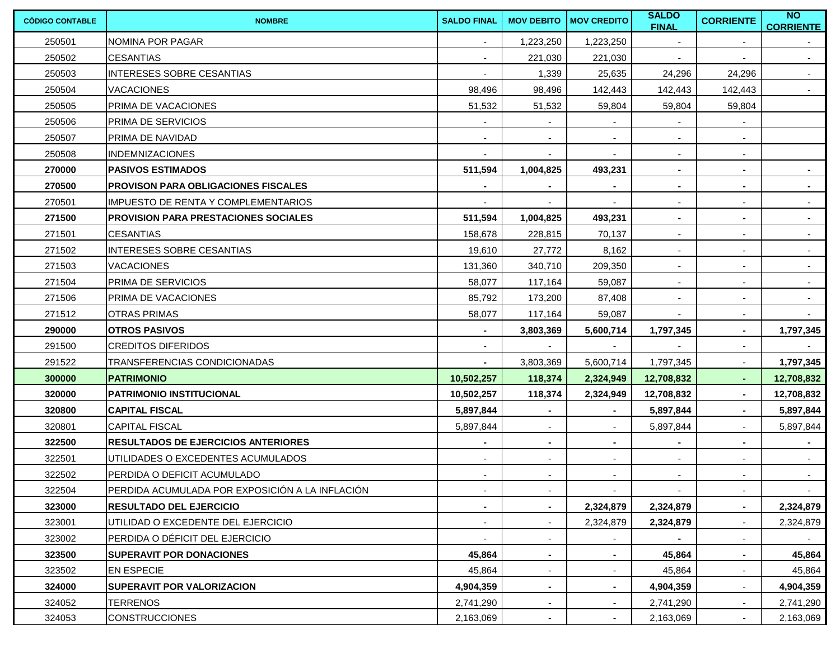| <b>CÓDIGO CONTABLE</b> | <b>NOMBRE</b>                                   | <b>SALDO FINAL</b>       | <b>MOV DEBITO</b>        | <b>MOV CREDITO</b>       | <b>SALDO</b><br><b>FINAL</b> | <b>CORRIENTE</b>         | N <sub>O</sub><br><b>CORRIENTE</b> |
|------------------------|-------------------------------------------------|--------------------------|--------------------------|--------------------------|------------------------------|--------------------------|------------------------------------|
| 250501                 | NOMINA POR PAGAR                                | $\blacksquare$           | 1,223,250                | 1,223,250                | $\overline{\phantom{a}}$     | $\blacksquare$           |                                    |
| 250502                 | <b>CESANTIAS</b>                                | $\overline{\phantom{a}}$ | 221,030                  | 221,030                  | ٠                            | $\blacksquare$           | $\sim$                             |
| 250503                 | <b>INTERESES SOBRE CESANTIAS</b>                |                          | 1,339                    | 25,635                   | 24,296                       | 24,296                   | $\sim$                             |
| 250504                 | <b>VACACIONES</b>                               | 98,496                   | 98,496                   | 142,443                  | 142,443                      | 142,443                  | $\sim$                             |
| 250505                 | PRIMA DE VACACIONES                             | 51,532                   | 51,532                   | 59,804                   | 59,804                       | 59,804                   |                                    |
| 250506                 | <b>PRIMA DE SERVICIOS</b>                       |                          |                          |                          |                              |                          |                                    |
| 250507                 | PRIMA DE NAVIDAD                                |                          |                          | $\overline{\phantom{a}}$ | ٠                            | $\blacksquare$           |                                    |
| 250508                 | <b>INDEMNIZACIONES</b>                          |                          |                          | $\blacksquare$           | $\overline{\phantom{a}}$     | $\sim$                   |                                    |
| 270000                 | <b>PASIVOS ESTIMADOS</b>                        | 511,594                  | 1,004,825                | 493,231                  | $\blacksquare$               | $\blacksquare$           |                                    |
| 270500                 | <b>PROVISON PARA OBLIGACIONES FISCALES</b>      |                          |                          |                          | ٠                            | $\blacksquare$           |                                    |
| 270501                 | <b>IMPUESTO DE RENTA Y COMPLEMENTARIOS</b>      |                          |                          |                          | $\blacksquare$               | $\blacksquare$           | $\overline{\phantom{a}}$           |
| 271500                 | <b>PROVISION PARA PRESTACIONES SOCIALES</b>     | 511,594                  | 1,004,825                | 493,231                  | $\blacksquare$               | $\sim$                   | $\blacksquare$                     |
| 271501                 | <b>CESANTIAS</b>                                | 158,678                  | 228,815                  | 70,137                   | $\sim$                       | $\overline{\phantom{a}}$ | $\sim$                             |
| 271502                 | INTERESES SOBRE CESANTIAS                       | 19,610                   | 27,772                   | 8,162                    | $\sim$                       | $\blacksquare$           |                                    |
| 271503                 | <b>VACACIONES</b>                               | 131,360                  | 340,710                  | 209,350                  | $\blacksquare$               | $\blacksquare$           | $\overline{\phantom{a}}$           |
| 271504                 | PRIMA DE SERVICIOS                              | 58,077                   | 117,164                  | 59,087                   | $\sim$                       | $\sim$                   | $\sim$                             |
| 271506                 | PRIMA DE VACACIONES                             | 85,792                   | 173,200                  | 87,408                   | $\blacksquare$               | $\sim$                   | $\sim$                             |
| 271512                 | <b>OTRAS PRIMAS</b>                             | 58,077                   | 117,164                  | 59,087                   | $\sim$                       | $\sim$                   |                                    |
| 290000                 | <b>OTROS PASIVOS</b>                            | $\blacksquare$           | 3,803,369                | 5,600,714                | 1,797,345                    | $\sim$                   | 1,797,345                          |
| 291500                 | <b>CREDITOS DIFERIDOS</b>                       | $\blacksquare$           |                          |                          |                              | $\sim$                   |                                    |
| 291522                 | TRANSFERENCIAS CONDICIONADAS                    | $\blacksquare$           | 3,803,369                | 5,600,714                | 1,797,345                    | $\sim$                   | 1,797,345                          |
| 300000                 | <b>PATRIMONIO</b>                               | 10,502,257               | 118,374                  | 2,324,949                | 12,708,832                   | $\sim$                   | 12,708,832                         |
| 320000                 | IPATRIMONIO INSTITUCIONAL                       | 10,502,257               | 118,374                  | 2,324,949                | 12,708,832                   | $\blacksquare$           | 12,708,832                         |
| 320800                 | <b>CAPITAL FISCAL</b>                           | 5,897,844                |                          |                          | 5,897,844                    | $\blacksquare$           | 5,897,844                          |
| 320801                 | <b>CAPITAL FISCAL</b>                           | 5,897,844                | $\sim$                   | $\blacksquare$           | 5,897,844                    | $\sim$                   | 5,897,844                          |
| 322500                 | <b>IRESULTADOS DE EJERCICIOS ANTERIORES</b>     | ٠                        | $\sim$                   | $\blacksquare$           | $\sim$                       | $\sim$                   | $\sim$                             |
| 322501                 | UTILIDADES O EXCEDENTES ACUMULADOS              | ٠                        | $\overline{\phantom{a}}$ | $\overline{\phantom{a}}$ | $\blacksquare$               | $\overline{\phantom{a}}$ | $\sim$                             |
| 322502                 | <b>IPERDIDA O DEFICIT ACUMULADO</b>             |                          |                          |                          |                              |                          |                                    |
| 322504                 | PERDIDA ACUMULADA POR EXPOSICIÓN A LA INFLACIÓN | $\sim$                   | $\sim$                   | $\sim$                   | $\sim$                       | $\sim$                   | $\sim$                             |
| 323000                 | <b>RESULTADO DEL EJERCICIO</b>                  |                          |                          | 2,324,879                | 2,324,879                    | $\blacksquare$           | 2,324,879                          |
| 323001                 | UTILIDAD O EXCEDENTE DEL EJERCICIO              |                          |                          | 2,324,879                | 2,324,879                    |                          | 2,324,879                          |
| 323002                 | PERDIDA O DÉFICIT DEL EJERCICIO                 |                          |                          |                          |                              |                          |                                    |
| 323500                 | <b>SUPERAVIT POR DONACIONES</b>                 | 45,864                   | $\sim$                   |                          | 45,864                       | $\sim$                   | 45,864                             |
| 323502                 | <b>EN ESPECIE</b>                               | 45,864                   | $\sim$                   |                          | 45,864                       |                          | 45,864                             |
| 324000                 | <b>SUPERAVIT POR VALORIZACION</b>               | 4,904,359                | $\blacksquare$           |                          | 4,904,359                    |                          | 4,904,359                          |
| 324052                 | <b>TERRENOS</b>                                 | 2,741,290                | $\overline{\phantom{a}}$ |                          | 2,741,290                    |                          | 2,741,290                          |
| 324053                 | <b>CONSTRUCCIONES</b>                           | 2,163,069                | $\overline{\phantom{a}}$ |                          | 2,163,069                    |                          | 2,163,069                          |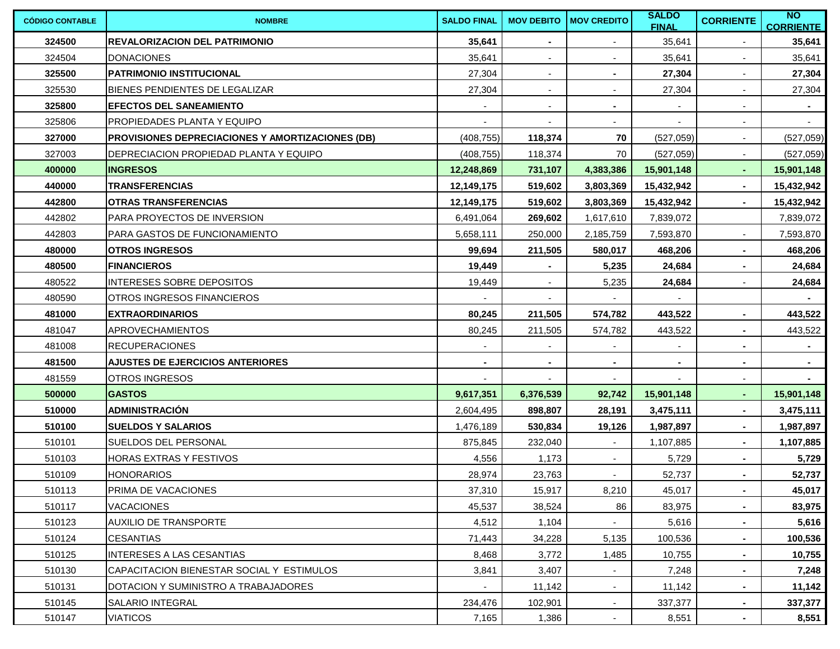| <b>CÓDIGO CONTABLE</b> | <b>NOMBRE</b>                                           | <b>SALDO FINAL</b> | <b>MOV DEBITO</b>        | <b>MOV CREDITO</b>       | <b>SALDO</b><br><b>FINAL</b> | <b>CORRIENTE</b>         | N <sub>O</sub><br><b>CORRIENTE</b> |
|------------------------|---------------------------------------------------------|--------------------|--------------------------|--------------------------|------------------------------|--------------------------|------------------------------------|
| 324500                 | <b>REVALORIZACION DEL PATRIMONIO</b>                    | 35,641             | $\blacksquare$           |                          | 35,641                       | $\blacksquare$           | 35,641                             |
| 324504                 | <b>DONACIONES</b>                                       | 35,641             | $\overline{\phantom{a}}$ |                          | 35,641                       | $\blacksquare$           | 35,641                             |
| 325500                 | IPATRIMONIO INSTITUCIONAL                               | 27,304             | $\blacksquare$           |                          | 27,304                       |                          | 27,304                             |
| 325530                 | BIENES PENDIENTES DE LEGALIZAR                          | 27,304             | $\overline{\phantom{a}}$ |                          | 27,304                       | $\blacksquare$           | 27,304                             |
| 325800                 | <b>EFECTOS DEL SANEAMIENTO</b>                          |                    | $\blacksquare$           |                          |                              |                          |                                    |
| 325806                 | PROPIEDADES PLANTA Y EQUIPO                             |                    |                          |                          |                              |                          |                                    |
| 327000                 | <b>PROVISIONES DEPRECIACIONES Y AMORTIZACIONES (DB)</b> | (408, 755)         | 118,374                  | 70                       | (527,059)                    | $\overline{\phantom{a}}$ | (527,059)                          |
| 327003                 | DEPRECIACION PROPIEDAD PLANTA Y EQUIPO                  | (408, 755)         | 118,374                  | 70                       | (527, 059)                   | $\blacksquare$           | (527,059)                          |
| 400000                 | <b>INGRESOS</b>                                         | 12,248,869         | 731,107                  | 4,383,386                | 15,901,148                   | $\blacksquare$           | 15,901,148                         |
| 440000                 | <b>TRANSFERENCIAS</b>                                   | 12,149,175         | 519,602                  | 3,803,369                | 15,432,942                   | ٠                        | 15,432,942                         |
| 442800                 | <b>OTRAS TRANSFERENCIAS</b>                             | 12,149,175         | 519,602                  | 3,803,369                | 15,432,942                   | $\sim$                   | 15,432,942                         |
| 442802                 | PARA PROYECTOS DE INVERSION                             | 6,491,064          | 269,602                  | 1,617,610                | 7,839,072                    |                          | 7,839,072                          |
| 442803                 | PARA GASTOS DE FUNCIONAMIENTO                           | 5,658,111          | 250,000                  | 2,185,759                | 7,593,870                    | $\blacksquare$           | 7,593,870                          |
| 480000                 | <b>OTROS INGRESOS</b>                                   | 99,694             | 211,505                  | 580,017                  | 468,206                      | $\blacksquare$           | 468,206                            |
| 480500                 | <b>FINANCIEROS</b>                                      | 19,449             | $\blacksquare$           | 5,235                    | 24,684                       | $\blacksquare$           | 24,684                             |
| 480522                 | <b>INTERESES SOBRE DEPOSITOS</b>                        | 19,449             | $\overline{\phantom{a}}$ | 5,235                    | 24,684                       | $\sim$                   | 24,684                             |
| 480590                 | <b>OTROS INGRESOS FINANCIEROS</b>                       |                    |                          |                          |                              |                          |                                    |
| 481000                 | <b>EXTRAORDINARIOS</b>                                  | 80,245             | 211,505                  | 574,782                  | 443,522                      | $\blacksquare$           | 443,522                            |
| 481047                 | <b>APROVECHAMIENTOS</b>                                 | 80,245             | 211,505                  | 574,782                  | 443,522                      | $\sim$                   | 443,522                            |
| 481008                 | <b>RECUPERACIONES</b>                                   |                    |                          |                          |                              | ٠                        | $\sim$                             |
| 481500                 | <b>AJUSTES DE EJERCICIOS ANTERIORES</b>                 | ۰                  | $\blacksquare$           | $\blacksquare$           | $\blacksquare$               | $\blacksquare$           | $\sim$                             |
| 481559                 | <b>OTROS INGRESOS</b>                                   |                    |                          |                          |                              | $\overline{\phantom{a}}$ | $\sim$                             |
| 500000                 | <b>GASTOS</b>                                           | 9,617,351          | 6,376,539                | 92,742                   | 15,901,148                   | $\sim$                   | 15,901,148                         |
| 510000                 | <b>ADMINISTRACIÓN</b>                                   | 2,604,495          | 898,807                  | 28,191                   | 3,475,111                    | $\blacksquare$           | 3,475,111                          |
| 510100                 | <b>SUELDOS Y SALARIOS</b>                               | 1,476,189          | 530,834                  | 19,126                   | 1,987,897                    | $\blacksquare$           | 1,987,897                          |
| 510101                 | SUELDOS DEL PERSONAL                                    | 875,845            | 232,040                  |                          | 1,107,885                    |                          | 1,107,885                          |
| 510103                 | <b>HORAS EXTRAS Y FESTIVOS</b>                          | 4,556              | 1,173                    | $\overline{\phantom{a}}$ | 5,729                        | $\blacksquare$           | 5,729                              |
| 510109                 | <b>HONORARIOS</b>                                       | 28,974             | 23,763                   |                          | 52,737                       |                          | 52,737                             |
| 510113                 | PRIMA DE VACACIONES                                     | 37,310             | 15,917                   | 8,210                    | 45,017                       | $\blacksquare$           | 45,017                             |
| 510117                 | <b>VACACIONES</b>                                       | 45,537             | 38,524                   | 86                       | 83,975                       |                          | 83,975                             |
| 510123                 | AUXILIO DE TRANSPORTE                                   | 4,512              | 1,104                    |                          | 5,616                        | $\blacksquare$           | 5,616                              |
| 510124                 | <b>CESANTIAS</b>                                        | 71,443             | 34,228                   | 5,135                    | 100,536                      | $\blacksquare$           | 100,536                            |
| 510125                 | <b>INTERESES A LAS CESANTIAS</b>                        | 8,468              | 3,772                    | 1,485                    | 10,755                       | $\sim$                   | 10,755                             |
| 510130                 | CAPACITACION BIENESTAR SOCIAL Y ESTIMULOS               | 3,841              | 3,407                    |                          | 7,248                        | $\blacksquare$           | 7,248                              |
| 510131                 | DOTACION Y SUMINISTRO A TRABAJADORES                    |                    | 11,142                   |                          | 11,142                       | $\sim$                   | 11,142                             |
| 510145                 | SALARIO INTEGRAL                                        | 234,476            | 102,901                  | $\overline{\phantom{a}}$ | 337,377                      | $\sim$                   | 337,377                            |
| 510147                 | <b>VIATICOS</b>                                         | 7,165              | 1,386                    |                          | 8,551                        | $\sim$                   | 8,551                              |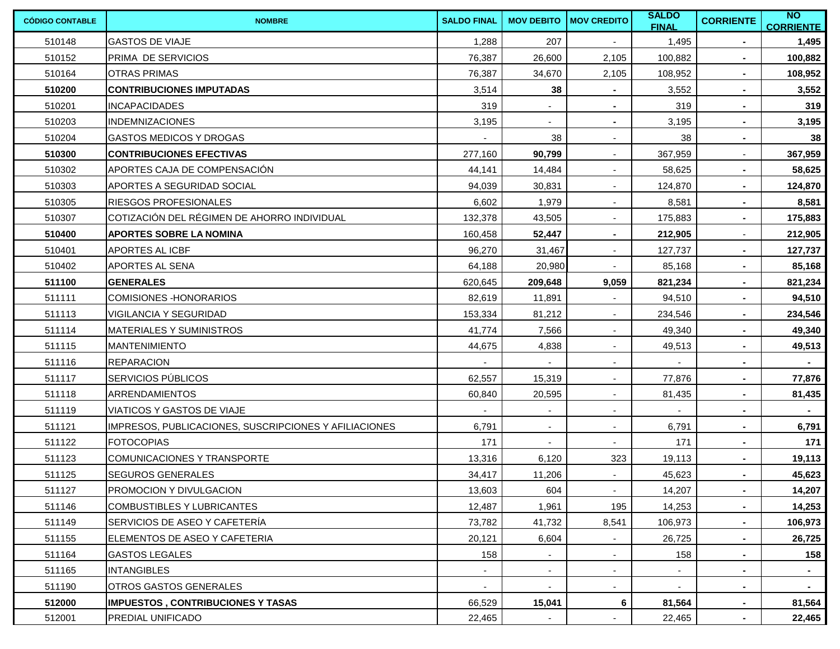| <b>CÓDIGO CONTABLE</b> | <b>NOMBRE</b>                                         | <b>SALDO FINAL</b> | <b>MOV DEBITO</b>        | <b>MOV CREDITO</b>       | <b>SALDO</b><br><b>FINAL</b> | <b>CORRIENTE</b> | N<br><b>CORRIENTE</b> |
|------------------------|-------------------------------------------------------|--------------------|--------------------------|--------------------------|------------------------------|------------------|-----------------------|
| 510148                 | <b>GASTOS DE VIAJE</b>                                | 1,288              | 207                      |                          | 1,495                        | $\blacksquare$   | 1,495                 |
| 510152                 | PRIMA DE SERVICIOS                                    | 76,387             | 26,600                   | 2,105                    | 100,882                      | $\sim$           | 100,882               |
| 510164                 | <b>OTRAS PRIMAS</b>                                   | 76,387             | 34,670                   | 2,105                    | 108,952                      |                  | 108,952               |
| 510200                 | <b>CONTRIBUCIONES IMPUTADAS</b>                       | 3,514              | 38                       | $\blacksquare$           | 3,552                        | $\blacksquare$   | 3,552                 |
| 510201                 | <b>INCAPACIDADES</b>                                  | 319                |                          |                          | 319                          | $\blacksquare$   | 319                   |
| 510203                 | <b>INDEMNIZACIONES</b>                                | 3,195              |                          |                          | 3,195                        | $\blacksquare$   | 3,195                 |
| 510204                 | <b>GASTOS MEDICOS Y DROGAS</b>                        |                    | 38                       | $\overline{\phantom{a}}$ | 38                           | $\sim$           | 38                    |
| 510300                 | <b>CONTRIBUCIONES EFECTIVAS</b>                       | 277,160            | 90,799                   | $\overline{\phantom{a}}$ | 367,959                      | $\blacksquare$   | 367,959               |
| 510302                 | APORTES CAJA DE COMPENSACIÓN                          | 44,141             | 14,484                   | $\blacksquare$           | 58,625                       | $\blacksquare$   | 58,625                |
| 510303                 | APORTES A SEGURIDAD SOCIAL                            | 94,039             | 30,831                   |                          | 124,870                      | $\sim$           | 124,870               |
| 510305                 | <b>RIESGOS PROFESIONALES</b>                          | 6,602              | 1,979                    | $\sim$                   | 8,581                        | $\sim$           | 8,581                 |
| 510307                 | COTIZACIÓN DEL RÉGIMEN DE AHORRO INDIVIDUAL           | 132,378            | 43,505                   | $\blacksquare$           | 175,883                      | $\sim$           | 175,883               |
| 510400                 | <b>APORTES SOBRE LA NOMINA</b>                        | 160,458            | 52,447                   | $\blacksquare$           | 212,905                      | $\sim$           | 212,905               |
| 510401                 | <b>APORTES AL ICBF</b>                                | 96,270             | 31,467                   | $\sim$                   | 127,737                      | $\sim$           | 127,737               |
| 510402                 | <b>APORTES AL SENA</b>                                | 64,188             | 20,980                   | $\blacksquare$           | 85,168                       | $\sim$           | 85,168                |
| 511100                 | <b>GENERALES</b>                                      | 620,645            | 209,648                  | 9,059                    | 821,234                      | $\sim$           | 821,234               |
| 511111                 | <b>COMISIONES-HONORARIOS</b>                          | 82,619             | 11,891                   | $\blacksquare$           | 94,510                       | $\sim$           | 94,510                |
| 511113                 | VIGILANCIA Y SEGURIDAD                                | 153,334            | 81,212                   | $\blacksquare$           | 234,546                      | $\sim$           | 234,546               |
| 511114                 | <b>MATERIALES Y SUMINISTROS</b>                       | 41,774             | 7,566                    | $\blacksquare$           | 49,340                       | $\sim$           | 49,340                |
| 511115                 | <b>MANTENIMIENTO</b>                                  | 44,675             | 4,838                    | $\blacksquare$           | 49,513                       | $\blacksquare$   | 49,513                |
| 511116                 | <b>REPARACION</b>                                     | $\blacksquare$     | $\overline{\phantom{a}}$ | $\overline{\phantom{a}}$ | $\overline{\phantom{a}}$     | $\sim$           | $\sim$                |
| 511117                 | <b>SERVICIOS PÚBLICOS</b>                             | 62,557             | 15,319                   | $\blacksquare$           | 77,876                       | $\blacksquare$   | 77,876                |
| 511118                 | <b>ARRENDAMIENTOS</b>                                 | 60,840             | 20,595                   | $\blacksquare$           | 81,435                       | $\sim$           | 81,435                |
| 511119                 | VIATICOS Y GASTOS DE VIAJE                            |                    |                          | $\sim$                   |                              | $\blacksquare$   |                       |
| 511121                 | IMPRESOS, PUBLICACIONES, SUSCRIPCIONES Y AFILIACIONES | 6,791              | $\overline{\phantom{a}}$ | $\blacksquare$           | 6,791                        | $\blacksquare$   | 6,791                 |
| 511122                 | <b>FOTOCOPIAS</b>                                     | 171                |                          |                          | 171                          | $\sim$           | 171                   |
| 511123                 | COMUNICACIONES Y TRANSPORTE                           | 13,316             | 6,120                    | 323                      | 19,113                       | $\blacksquare$   | 19,113                |
| 511125                 | <b>SEGUROS GENERALES</b>                              | 34,417             | 11,206                   |                          | 45,623                       |                  | 45,623                |
| 511127                 | <b>PROMOCION Y DIVULGACION</b>                        | 13,603             | 604                      | $\sim$                   | 14,207                       | $\sim$           | 14,207                |
| 511146                 | <b>COMBUSTIBLES Y LUBRICANTES</b>                     | 12,487             | 1,961                    | 195                      | 14,253                       |                  | 14,253                |
| 511149                 | SERVICIOS DE ASEO Y CAFETERÍA                         | 73,782             | 41,732                   | 8,541                    | 106,973                      |                  | 106,973               |
| 511155                 | ELEMENTOS DE ASEO Y CAFETERIA                         | 20,121             | 6,604                    | $\overline{\phantom{a}}$ | 26,725                       | $\sim$           | 26,725                |
| 511164                 | <b>GASTOS LEGALES</b>                                 | 158                | $\blacksquare$           |                          | 158                          | $\blacksquare$   | 158                   |
| 511165                 | <b>INTANGIBLES</b>                                    |                    | $\sim$                   | $\overline{\phantom{a}}$ |                              | $\blacksquare$   |                       |
| 511190                 | OTROS GASTOS GENERALES                                |                    |                          |                          |                              |                  |                       |
| 512000                 | <b>IMPUESTOS, CONTRIBUCIONES Y TASAS</b>              | 66,529             | 15,041                   | 6                        | 81,564                       | $\sim$           | 81,564                |
| 512001                 | <b>PREDIAL UNIFICADO</b>                              | 22,465             |                          |                          | 22,465                       |                  | 22,465                |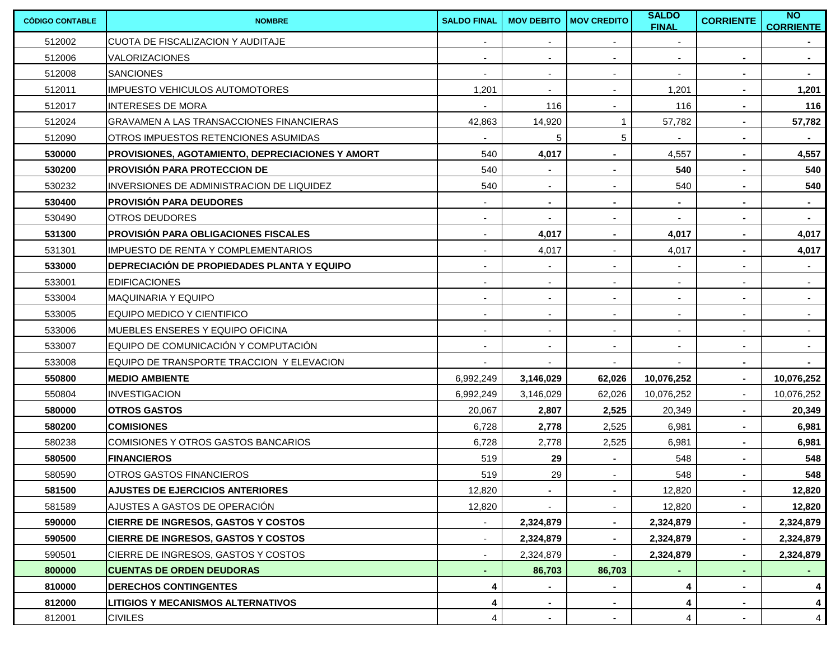| <b>CÓDIGO CONTABLE</b> | <b>NOMBRE</b>                                    | <b>SALDO FINAL</b>       | <b>MOV DEBITO</b>        | <b>MOV CREDITO</b>       | <b>SALDO</b><br><b>FINAL</b> | <b>CORRIENTE</b>         | $\overline{N}$<br><b>CORRIENTE</b> |
|------------------------|--------------------------------------------------|--------------------------|--------------------------|--------------------------|------------------------------|--------------------------|------------------------------------|
| 512002                 | <b>CUOTA DE FISCALIZACION Y AUDITAJE</b>         | $\overline{\phantom{a}}$ | $\overline{\phantom{a}}$ | ٠                        | $\blacksquare$               |                          |                                    |
| 512006                 | VALORIZACIONES                                   | $\blacksquare$           | $\overline{\phantom{a}}$ | $\blacksquare$           | $\overline{\phantom{a}}$     | $\sim$                   | $\sim$                             |
| 512008                 | <b>SANCIONES</b>                                 |                          | $\overline{\phantom{a}}$ | $\overline{\phantom{a}}$ | $\blacksquare$               | $\sim$                   |                                    |
| 512011                 | <b>IMPUESTO VEHICULOS AUTOMOTORES</b>            | 1,201                    | $\overline{\phantom{a}}$ | $\blacksquare$           | 1,201                        | $\blacksquare$           | 1,201                              |
| 512017                 | <b>INTERESES DE MORA</b>                         |                          | 116                      | $\blacksquare$           | 116                          | $\sim$                   | 116                                |
| 512024                 | <b>GRAVAMEN A LAS TRANSACCIONES FINANCIERAS</b>  | 42,863                   | 14,920                   | 1                        | 57,782                       | $\blacksquare$           | 57,782                             |
| 512090                 | OTROS IMPUESTOS RETENCIONES ASUMIDAS             |                          | 5                        | 5                        |                              | $\blacksquare$           |                                    |
| 530000                 | PROVISIONES, AGOTAMIENTO, DEPRECIACIONES Y AMORT | 540                      | 4,017                    | $\blacksquare$           | 4,557                        | $\blacksquare$           | 4,557                              |
| 530200                 | <b>PROVISIÓN PARA PROTECCION DE</b>              | 540                      |                          |                          | 540                          | $\blacksquare$           | 540                                |
| 530232                 | INVERSIONES DE ADMINISTRACION DE LIQUIDEZ        | 540                      |                          |                          | 540                          | $\blacksquare$           | 540                                |
| 530400                 | <b>PROVISIÓN PARA DEUDORES</b>                   |                          | $\blacksquare$           | $\blacksquare$           | $\blacksquare$               |                          | $\sim$                             |
| 530490                 | <b>OTROS DEUDORES</b>                            |                          |                          | $\overline{\phantom{a}}$ |                              | $\blacksquare$           | $\sim$                             |
| 531300                 | <b>PROVISIÓN PARA OBLIGACIONES FISCALES</b>      | $\overline{\phantom{a}}$ | 4,017                    | $\blacksquare$           | 4,017                        | $\blacksquare$           | 4,017                              |
| 531301                 | <b>IMPUESTO DE RENTA Y COMPLEMENTARIOS</b>       |                          | 4,017                    | $\overline{\phantom{a}}$ | 4,017                        | ٠                        | 4,017                              |
| 533000                 | DEPRECIACIÓN DE PROPIEDADES PLANTA Y EQUIPO      | $\blacksquare$           | $\overline{\phantom{a}}$ | $\blacksquare$           | $\blacksquare$               | $\blacksquare$           | $\sim$                             |
| 533001                 | <b>EDIFICACIONES</b>                             | $\blacksquare$           |                          | $\blacksquare$           | $\blacksquare$               | $\overline{\phantom{a}}$ |                                    |
| 533004                 | <b>MAQUINARIA Y EQUIPO</b>                       | $\overline{\phantom{a}}$ |                          | $\blacksquare$           | $\overline{\phantom{a}}$     | $\blacksquare$           | $\sim$                             |
| 533005                 | EQUIPO MEDICO Y CIENTIFICO                       |                          |                          | $\overline{\phantom{a}}$ | $\blacksquare$               | $\overline{\phantom{a}}$ |                                    |
| 533006                 | MUEBLES ENSERES Y EQUIPO OFICINA                 | $\sim$                   | $\overline{\phantom{a}}$ | $\sim$                   | $\sim$                       | $\sim$                   | $\sim$                             |
| 533007                 | EQUIPO DE COMUNICACIÓN Y COMPUTACIÓN             | $\overline{\phantom{a}}$ | $\overline{\phantom{a}}$ | $\blacksquare$           | $\sim$                       | $\sim$                   | $\sim$                             |
| 533008                 | EQUIPO DE TRANSPORTE TRACCION Y ELEVACION        |                          |                          |                          |                              | $\blacksquare$           | $\sim$                             |
| 550800                 | <b>MEDIO AMBIENTE</b>                            | 6,992,249                | 3,146,029                | 62,026                   | 10,076,252                   | $\sim$                   | 10,076,252                         |
| 550804                 | <b>INVESTIGACION</b>                             | 6,992,249                | 3,146,029                | 62,026                   | 10,076,252                   | $\sim$                   | 10,076,252                         |
| 580000                 | <b>OTROS GASTOS</b>                              | 20,067                   | 2,807                    | 2,525                    | 20,349                       | $\sim$                   | 20,349                             |
| 580200                 | <b>COMISIONES</b>                                | 6,728                    | 2,778                    | 2,525                    | 6,981                        | $\sim$                   | 6,981                              |
| 580238                 | <b>COMISIONES Y OTROS GASTOS BANCARIOS</b>       | 6,728                    | 2,778                    | 2,525                    | 6,981                        | $\sim$                   | 6,981                              |
| 580500                 | <b>FINANCIEROS</b>                               | 519                      | 29                       | $\blacksquare$           | 548                          | $\blacksquare$           | 548                                |
| 580590                 | OTROS GASTOS FINANCIEROS                         | 519                      | 29                       |                          | 548                          |                          | 548                                |
| 581500                 | <b>AJUSTES DE EJERCICIOS ANTERIORES</b>          | 12,820                   | $\sim$                   | $\blacksquare$           | 12,820                       | $\sim$                   | 12,820                             |
| 581589                 | AJUSTES A GASTOS DE OPERACIÓN                    | 12,820                   |                          |                          | 12,820                       | $\blacksquare$           | 12,820                             |
| 590000                 | <b>CIERRE DE INGRESOS, GASTOS Y COSTOS</b>       |                          | 2,324,879                | $\blacksquare$           | 2,324,879                    | $\blacksquare$           | 2,324,879                          |
| 590500                 | <b>CIERRE DE INGRESOS, GASTOS Y COSTOS</b>       |                          | 2,324,879                |                          | 2,324,879                    |                          | 2,324,879                          |
| 590501                 | CIERRE DE INGRESOS, GASTOS Y COSTOS              |                          | 2,324,879                |                          | 2,324,879                    | $\blacksquare$           | 2,324,879                          |
| 800000                 | <b>CUENTAS DE ORDEN DEUDORAS</b>                 |                          | 86,703                   | 86,703                   |                              |                          |                                    |
| 810000                 | <b>DERECHOS CONTINGENTES</b>                     | 4                        |                          |                          | 4                            |                          | 4                                  |
| 812000                 | <b>LITIGIOS Y MECANISMOS ALTERNATIVOS</b>        | 4                        |                          | $\blacksquare$           | 4                            |                          | 4                                  |
| 812001                 | <b>CIVILES</b>                                   | 4                        |                          |                          | 4                            |                          | 4                                  |